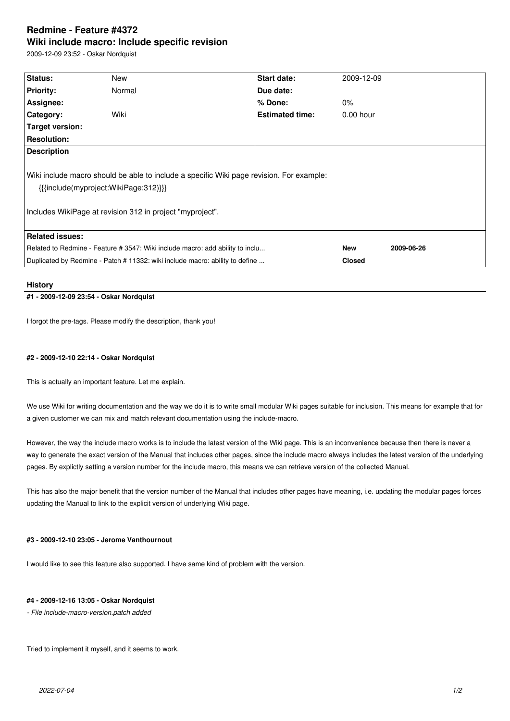# **Redmine - Feature #4372 Wiki include macro: Include specific revision**

2009-12-09 23:52 - Oskar Nordquist

| Status:                                                                                                                                                                                                    | New    | <b>Start date:</b>     | 2009-12-09    |            |
|------------------------------------------------------------------------------------------------------------------------------------------------------------------------------------------------------------|--------|------------------------|---------------|------------|
| <b>Priority:</b>                                                                                                                                                                                           | Normal | Due date:              |               |            |
| Assignee:                                                                                                                                                                                                  |        | % Done:                | $0\%$         |            |
| Category:                                                                                                                                                                                                  | Wiki   | <b>Estimated time:</b> | $0.00$ hour   |            |
| <b>Target version:</b>                                                                                                                                                                                     |        |                        |               |            |
| <b>Resolution:</b>                                                                                                                                                                                         |        |                        |               |            |
| <b>Description</b>                                                                                                                                                                                         |        |                        |               |            |
| Wiki include macro should be able to include a specific Wiki page revision. For example:<br>${ {\{ \{include(myproject:WikiPage:312) \}\}} }$<br>Includes WikiPage at revision 312 in project "myproject". |        |                        |               |            |
| <b>Related issues:</b>                                                                                                                                                                                     |        |                        |               |            |
| Related to Redmine - Feature # 3547: Wiki include macro: add ability to inclu                                                                                                                              |        |                        | <b>New</b>    | 2009-06-26 |
| Duplicated by Redmine - Patch # 11332: wiki include macro: ability to define                                                                                                                               |        |                        | <b>Closed</b> |            |

#### **History**

# **#1 - 2009-12-09 23:54 - Oskar Nordquist**

I forgot the pre-tags. Please modify the description, thank you!

#### **#2 - 2009-12-10 22:14 - Oskar Nordquist**

This is actually an important feature. Let me explain.

We use Wiki for writing documentation and the way we do it is to write small modular Wiki pages suitable for inclusion. This means for example that for a given customer we can mix and match relevant documentation using the include-macro.

However, the way the include macro works is to include the latest version of the Wiki page. This is an inconvenience because then there is never a way to generate the exact version of the Manual that includes other pages, since the include macro always includes the latest version of the underlying pages. By explictly setting a version number for the include macro, this means we can retrieve version of the collected Manual.

This has also the major benefit that the version number of the Manual that includes other pages have meaning, i.e. updating the modular pages forces updating the Manual to link to the explicit version of underlying Wiki page.

### **#3 - 2009-12-10 23:05 - Jerome Vanthournout**

I would like to see this feature also supported. I have same kind of problem with the version.

#### **#4 - 2009-12-16 13:05 - Oskar Nordquist**

*- File include-macro-version.patch added*

Tried to implement it myself, and it seems to work.